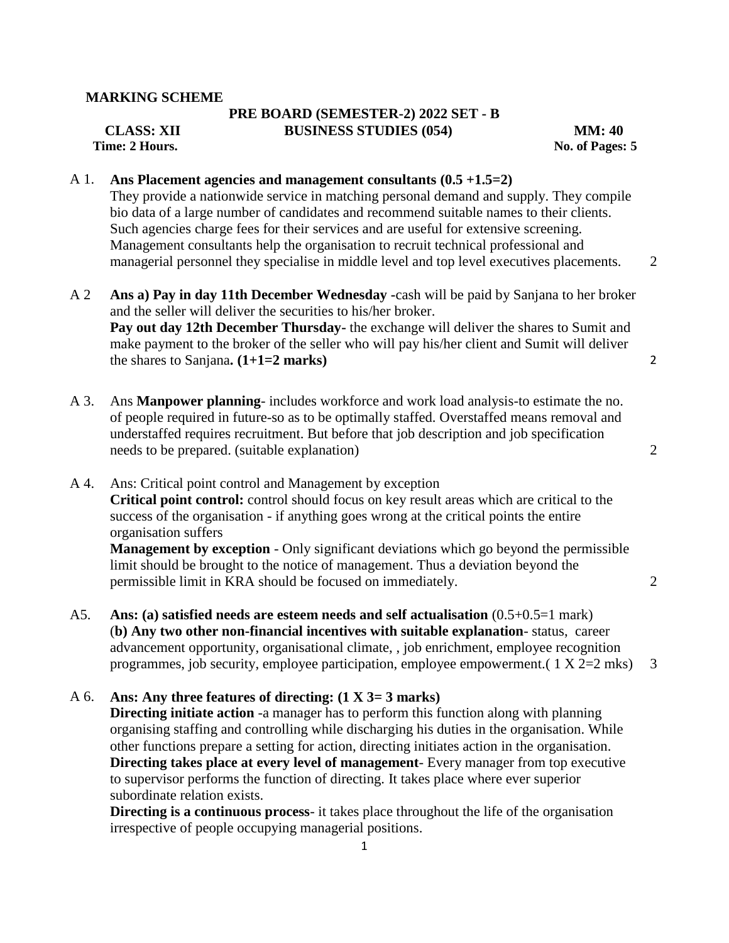#### **MARKING SCHEME**

# **PRE BOARD (SEMESTER-2) 2022 SET - B CLASS: XII BUSINESS STUDIES (054) MM: 40**

*Prime: 2* **Hours. Solution 2. Hours. Solution 2. Hours. Solution 2. Hours. Solution 2. Hours. Solution 2. Hours. Solution 2. Hours. Solution 2. Hours. Solution 2. Hours. Solution 2. Hours. Solution 2. Hours. Solution 2. H** 

## A 1. **Ans Placement agencies and management consultants (0.5 +1.5=2)**

They provide a nationwide service in matching personal demand and supply. They compile bio data of a large number of candidates and recommend suitable names to their clients. Such agencies charge fees for their services and are useful for extensive screening. Management consultants help the organisation to recruit technical professional and managerial personnel they specialise in middle level and top level executives placements. 2

- A 2 **Ans a) Pay in day 11th December Wednesday -**cash will be paid by Sanjana to her broker and the seller will deliver the securities to his/her broker. **Pay out day 12th December Thursday-** the exchange will deliver the shares to Sumit and make payment to the broker of the seller who will pay his/her client and Sumit will deliver the shares to Sanjana**. (1+1=2 marks)** 2
- A 3. Ans **Manpower planning** includes workforce and work load analysis-to estimate the no. of people required in future-so as to be optimally staffed. Overstaffed means removal and understaffed requires recruitment. But before that job description and job specification needs to be prepared. (suitable explanation) 2
- A 4. Ans: Critical point control and Management by exception **Critical point control:** control should focus on key result areas which are critical to the success of the organisation - if anything goes wrong at the critical points the entire organisation suffers **Management by exception** - Only significant deviations which go beyond the permissible

limit should be brought to the notice of management. Thus a deviation beyond the permissible limit in KRA should be focused on immediately. 2

A5. **Ans: (a) satisfied needs are esteem needs and self actualisation** (0.5+0.5=1 mark) (**b) Any two other non-financial incentives with suitable explanation**- status, career advancement opportunity, organisational climate, , job enrichment, employee recognition programmes, job security, employee participation, employee empowerment.  $(1 \text{ X } 2=2 \text{ mks})$  3

### A 6. **Ans: Any three features of directing: (1 X 3= 3 marks)**

**Directing initiate action** -a manager has to perform this function along with planning organising staffing and controlling while discharging his duties in the organisation. While other functions prepare a setting for action, directing initiates action in the organisation. **Directing takes place at every level of management**- Every manager from top executive to supervisor performs the function of directing. It takes place where ever superior subordinate relation exists.

**Directing is a continuous process**- it takes place throughout the life of the organisation irrespective of people occupying managerial positions.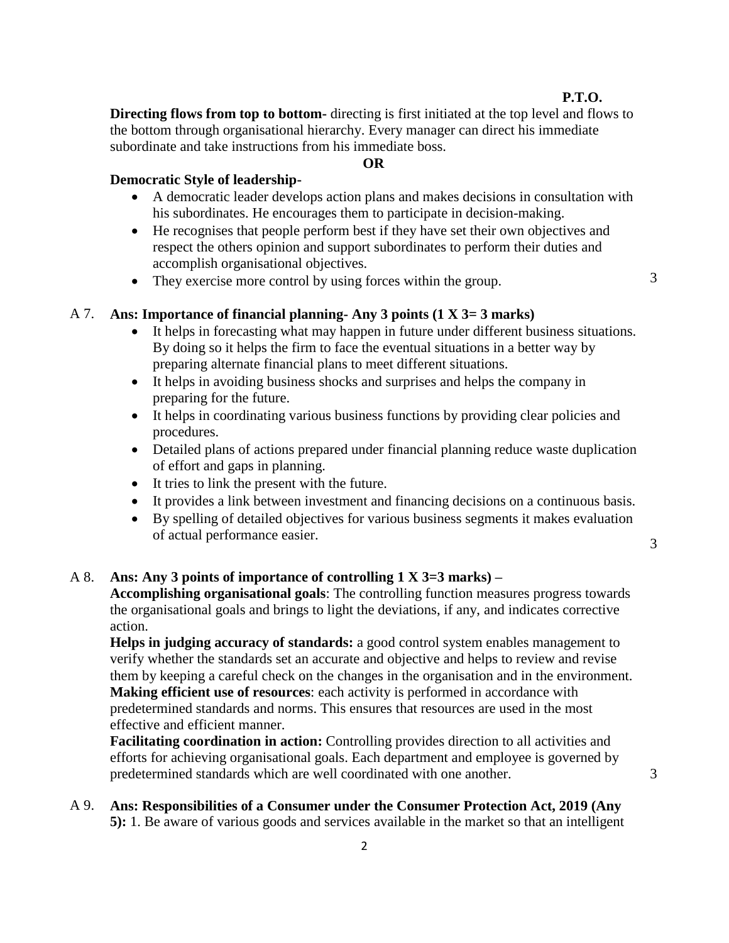# **P.T.O.**

**Directing flows from top to bottom-** directing is first initiated at the top level and flows to the bottom through organisational hierarchy. Every manager can direct his immediate subordinate and take instructions from his immediate boss.

#### **OR**

## **Democratic Style of leadership-**

- A democratic leader develops action plans and makes decisions in consultation with his subordinates. He encourages them to participate in decision-making.
- He recognises that people perform best if they have set their own objectives and respect the others opinion and support subordinates to perform their duties and accomplish organisational objectives.
- They exercise more control by using forces within the group. 3

# A 7. **Ans: Importance of financial planning- Any 3 points (1 X 3= 3 marks)**

- It helps in forecasting what may happen in future under different business situations. By doing so it helps the firm to face the eventual situations in a better way by preparing alternate financial plans to meet different situations.
- It helps in avoiding business shocks and surprises and helps the company in preparing for the future.
- It helps in coordinating various business functions by providing clear policies and procedures.
- Detailed plans of actions prepared under financial planning reduce waste duplication of effort and gaps in planning.
- It tries to link the present with the future.
- It provides a link between investment and financing decisions on a continuous basis.
- By spelling of detailed objectives for various business segments it makes evaluation of actual performance easier. <sup>3</sup>

3

## A 8. **Ans: Any 3 points of importance of controlling 1 X 3=3 marks) –**

**Accomplishing organisational goals**: The controlling function measures progress towards the organisational goals and brings to light the deviations, if any, and indicates corrective action.

**Helps in judging accuracy of standards:** a good control system enables management to verify whether the standards set an accurate and objective and helps to review and revise them by keeping a careful check on the changes in the organisation and in the environment. **Making efficient use of resources**: each activity is performed in accordance with predetermined standards and norms. This ensures that resources are used in the most effective and efficient manner.

**Facilitating coordination in action:** Controlling provides direction to all activities and efforts for achieving organisational goals. Each department and employee is governed by predetermined standards which are well coordinated with one another.

# A 9. **Ans: Responsibilities of a Consumer under the Consumer Protection Act, 2019 (Any 5):** 1. Be aware of various goods and services available in the market so that an intelligent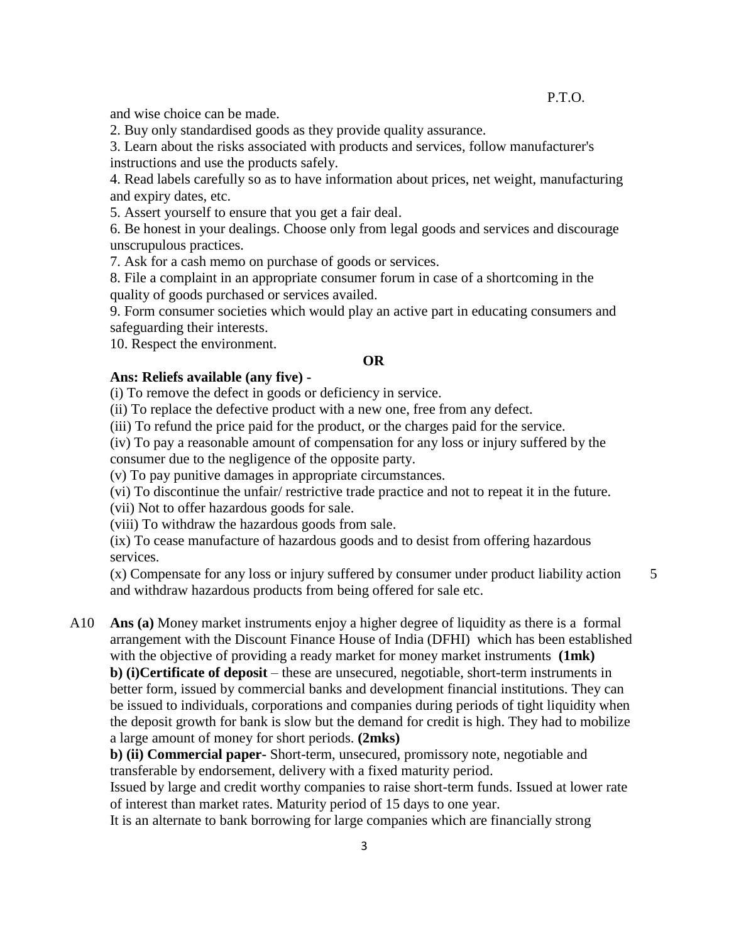and wise choice can be made.

2. Buy only standardised goods as they provide quality assurance.

3. Learn about the risks associated with products and services, follow manufacturer's instructions and use the products safely.

4. Read labels carefully so as to have information about prices, net weight, manufacturing and expiry dates, etc.

5. Assert yourself to ensure that you get a fair deal.

6. Be honest in your dealings. Choose only from legal goods and services and discourage unscrupulous practices.

7. Ask for a cash memo on purchase of goods or services.

8. File a complaint in an appropriate consumer forum in case of a shortcoming in the quality of goods purchased or services availed.

9. Form consumer societies which would play an active part in educating consumers and safeguarding their interests.

10. Respect the environment.

# **OR**

#### **Ans: Reliefs available (any five) -**

(i) To remove the defect in goods or deficiency in service.

(ii) To replace the defective product with a new one, free from any defect.

(iii) To refund the price paid for the product, or the charges paid for the service.

(iv) To pay a reasonable amount of compensation for any loss or injury suffered by the consumer due to the negligence of the opposite party.

(v) To pay punitive damages in appropriate circumstances.

(vi) To discontinue the unfair/ restrictive trade practice and not to repeat it in the future.

(vii) Not to offer hazardous goods for sale.

(viii) To withdraw the hazardous goods from sale.

(ix) To cease manufacture of hazardous goods and to desist from offering hazardous services.

(x) Compensate for any loss or injury suffered by consumer under product liability action and withdraw hazardous products from being offered for sale etc.

A10 **Ans (a)** Money market instruments enjoy a higher degree of liquidity as there is a formal arrangement with the Discount Finance House of India (DFHI) which has been established with the objective of providing a ready market for money market instruments **(1mk) b) (i)Certificate of deposit** – these are unsecured, negotiable, short-term instruments in better form, issued by commercial banks and development financial institutions. They can be issued to individuals, corporations and companies during periods of tight liquidity when the deposit growth for bank is slow but the demand for credit is high. They had to mobilize a large amount of money for short periods. **(2mks)**

**b) (ii) Commercial paper-** Short-term, unsecured, promissory note, negotiable and transferable by endorsement, delivery with a fixed maturity period.

Issued by large and credit worthy companies to raise short-term funds. Issued at lower rate of interest than market rates. Maturity period of 15 days to one year.

3

It is an alternate to bank borrowing for large companies which are financially strong

5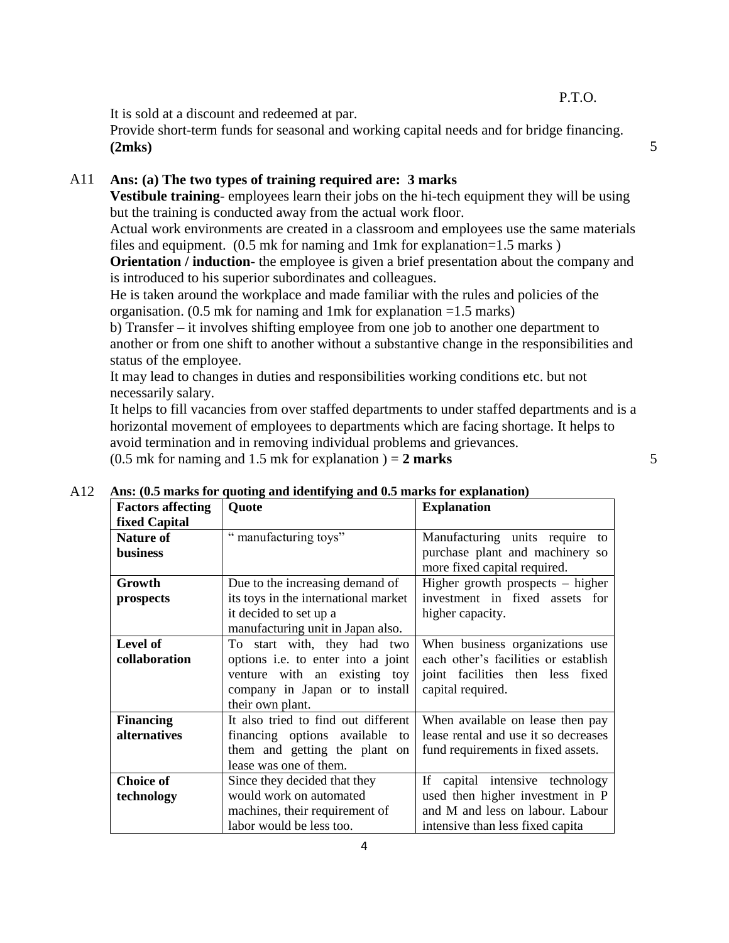P.T.O.

It is sold at a discount and redeemed at par.

Provide short-term funds for seasonal and working capital needs and for bridge financing. **(2mks)** 5

A11 **Ans: (a) The two types of training required are: 3 marks**

**Vestibule training**- employees learn their jobs on the hi-tech equipment they will be using but the training is conducted away from the actual work floor.

Actual work environments are created in a classroom and employees use the same materials files and equipment. (0.5 mk for naming and 1mk for explanation=1.5 marks )

**Orientation / induction-** the employee is given a brief presentation about the company and is introduced to his superior subordinates and colleagues.

He is taken around the workplace and made familiar with the rules and policies of the organisation. (0.5 mk for naming and 1mk for explanation =1.5 marks)

b) Transfer – it involves shifting employee from one job to another one department to another or from one shift to another without a substantive change in the responsibilities and status of the employee.

It may lead to changes in duties and responsibilities working conditions etc. but not necessarily salary.

It helps to fill vacancies from over staffed departments to under staffed departments and is a horizontal movement of employees to departments which are facing shortage. It helps to avoid termination and in removing individual problems and grievances.

 $(0.5 \text{ mk for naming and } 1.5 \text{ mk for explanation}) = 2 \text{ marks}$  5

| Ans: (0.5 marks for quoting and identifying and 0.5 marks for explanation) |                                           |                                      |  |
|----------------------------------------------------------------------------|-------------------------------------------|--------------------------------------|--|
| <b>Factors affecting</b>                                                   | Quote                                     | <b>Explanation</b>                   |  |
| fixed Capital                                                              |                                           |                                      |  |
| <b>Nature of</b>                                                           | manufacturing toys"                       | Manufacturing units require to       |  |
| business                                                                   |                                           | purchase plant and machinery so      |  |
|                                                                            |                                           | more fixed capital required.         |  |
| Growth                                                                     | Due to the increasing demand of           | Higher growth prospects $-$ higher   |  |
| prospects                                                                  | its toys in the international market      | investment in fixed assets for       |  |
|                                                                            | it decided to set up a                    | higher capacity.                     |  |
|                                                                            | manufacturing unit in Japan also.         |                                      |  |
| Level of                                                                   | To start with, they had two               | When business organizations use      |  |
| collaboration                                                              | options <i>i.e.</i> to enter into a joint | each other's facilities or establish |  |
|                                                                            | venture with an existing toy              | joint facilities then less fixed     |  |
|                                                                            | company in Japan or to install            | capital required.                    |  |
|                                                                            | their own plant.                          |                                      |  |
| <b>Financing</b>                                                           | It also tried to find out different       | When available on lease then pay     |  |
| alternatives                                                               | financing options available<br>to         | lease rental and use it so decreases |  |
|                                                                            | them and getting the plant on             | fund requirements in fixed assets.   |  |
|                                                                            | lease was one of them.                    |                                      |  |
| <b>Choice of</b>                                                           | Since they decided that they              | If capital intensive technology      |  |
| technology                                                                 | would work on automated                   | used then higher investment in P     |  |
|                                                                            | machines, their requirement of            | and M and less on labour. Labour     |  |
|                                                                            | labor would be less too.                  | intensive than less fixed capita     |  |

A12 **Ans: (0.5 marks for quoting and identifying and 0.5 marks for explanation)**